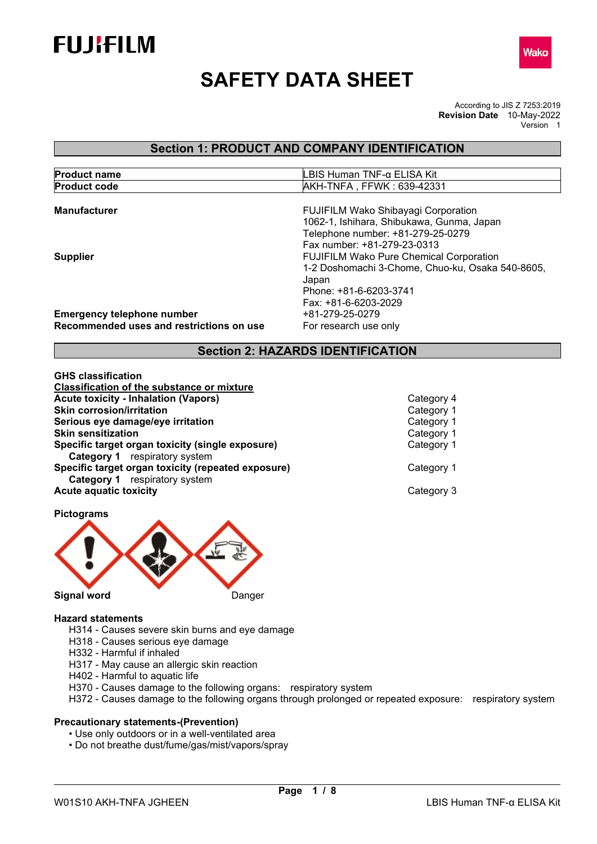



# **SAFETY DATA SHEET**

According to JIS Z 7253:2019 **Revision Date** 10-May-2022 Version 1

# **Section 1: PRODUCT AND COMPANY IDENTIFICATION**

| <b>Product name</b> | ` Human TNF-α ELISA Kit<br>.BIS I       |
|---------------------|-----------------------------------------|
| <b>Product code</b> | . , FFWK : 639-42331<br><b>AKH-TNFA</b> |

| <b>Manufacturer</b>                                                           | FUJIFILM Wako Shibayagi Corporation<br>1062-1, Ishihara, Shibukawa, Gunma, Japan<br>Telephone number: +81-279-25-0279<br>Fax number: +81-279-23-0313          |
|-------------------------------------------------------------------------------|---------------------------------------------------------------------------------------------------------------------------------------------------------------|
| <b>Supplier</b>                                                               | <b>FUJIFILM Wako Pure Chemical Corporation</b><br>1-2 Doshomachi 3-Chome, Chuo-ku, Osaka 540-8605,<br>Japan<br>Phone: +81-6-6203-3741<br>Fax: +81-6-6203-2029 |
| <b>Emergency telephone number</b><br>Recommended uses and restrictions on use | +81-279-25-0279<br>For research use only                                                                                                                      |

# **Section 2: HAZARDS IDENTIFICATION**

| <b>GHS classification</b>                          |            |
|----------------------------------------------------|------------|
| <b>Classification of the substance or mixture</b>  |            |
| <b>Acute toxicity - Inhalation (Vapors)</b>        | Category 4 |
| <b>Skin corrosion/irritation</b>                   | Category 1 |
| Serious eye damage/eye irritation                  | Category 1 |
| <b>Skin sensitization</b>                          | Category 1 |
| Specific target organ toxicity (single exposure)   | Category 1 |
| <b>Category 1</b> respiratory system               |            |
| Specific target organ toxicity (repeated exposure) | Category 1 |
| <b>Category 1</b> respiratory system               |            |
| <b>Acute aquatic toxicity</b>                      | Category 3 |

**Pictograms** 



# **Hazard statements**

- H314 Causes severe skin burns and eye damage
- H318 Causes serious eye damage
- H332 Harmful if inhaled
- H317 May cause an allergic skin reaction
- H402 Harmful to aquatic life
- H370 Causes damage to the following organs: respiratory system
- H372 Causes damage to the following organs through prolonged or repeated exposure: respiratory system

#### **Precautionary statements-(Prevention)**

- Use only outdoors or in a well-ventilated area
- Do not breathe dust/fume/gas/mist/vapors/spray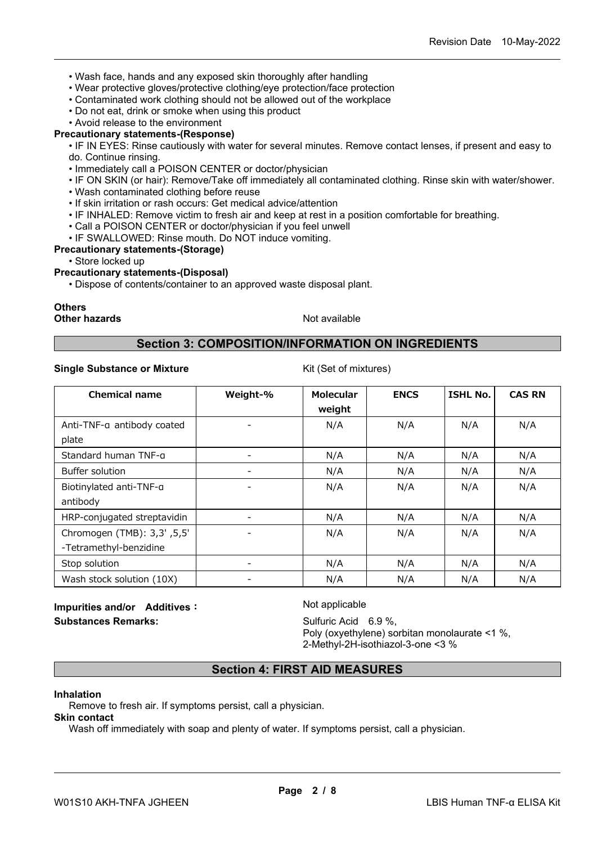- Wash face, hands and any exposed skin thoroughly after handling
- Wear protective gloves/protective clothing/eye protection/face protection
- Contaminated work clothing should not be allowed out of the workplace
- Do not eat, drink or smoke when using this product
- Avoid release to the environment

#### **Precautionary statements-(Response)**

• IF IN EYES: Rinse cautiously with water for several minutes. Remove contact lenses, if present and easy to do. Continue rinsing.

- Immediately call a POISON CENTER or doctor/physician
- IF ON SKIN (or hair): Remove/Take off immediately all contaminated clothing. Rinse skin with water/shower.
- Wash contaminated clothing before reuse
- If skin irritation or rash occurs: Get medical advice/attention
- IF INHALED: Remove victim to fresh air and keep at rest in a position comfortable for breathing.
- Call a POISON CENTER or doctor/physician if you feel unwell
- IF SWALLOWED: Rinse mouth. Do NOT induce vomiting.

#### **Precautionary statements-(Storage)**

• Store locked up

#### **Precautionary statements-(Disposal)**

• Dispose of contents/container to an approved waste disposal plant.

# **Others**

**Other hazards Not available** Not available

# **Section 3: COMPOSITION/INFORMATION ON INGREDIENTS**

#### **Single Substance or Mixture** Kit (Set of mixtures)

| <b>Chemical name</b>        | Weight-% | <b>Molecular</b><br>weight | <b>ENCS</b> | <b>ISHL No.</b> | <b>CAS RN</b> |
|-----------------------------|----------|----------------------------|-------------|-----------------|---------------|
| Anti-TNF-a antibody coated  |          | N/A                        | N/A         | N/A             | N/A           |
| plate                       |          |                            |             |                 |               |
| Standard human TNF-a        |          | N/A                        | N/A         | N/A             | N/A           |
| Buffer solution             |          | N/A                        | N/A         | N/A             | N/A           |
| Biotinylated anti-TNF-a     |          | N/A                        | N/A         | N/A             | N/A           |
| antibody                    |          |                            |             |                 |               |
| HRP-conjugated streptavidin |          | N/A                        | N/A         | N/A             | N/A           |
| Chromogen (TMB): 3,3' ,5,5' |          | N/A                        | N/A         | N/A             | N/A           |
| -Tetramethyl-benzidine      |          |                            |             |                 |               |
| Stop solution               |          | N/A                        | N/A         | N/A             | N/A           |
| Wash stock solution (10X)   |          | N/A                        | N/A         | N/A             | N/A           |

# **Impurities and/or Additives:** Not applicable **Substances Remarks:** Sulfuric Acid 6.9 %,

Poly (oxyethylene) sorbitan monolaurate <1 %, 2-Methyl-2H-isothiazol-3-one <3 %

# **Section 4: FIRST AID MEASURES**

#### **Inhalation**

Remove to fresh air. If symptoms persist, call a physician.

# **Skin contact**

Wash off immediately with soap and plenty of water. If symptoms persist, call a physician.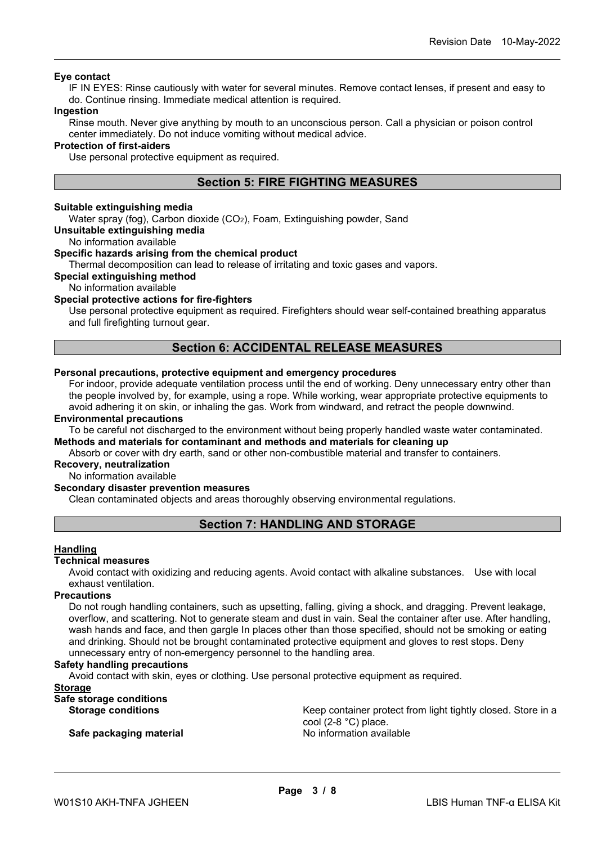#### **Eye contact**

IF IN EYES: Rinse cautiously with water for several minutes. Remove contact lenses, if present and easy to do. Continue rinsing. Immediate medical attention is required.

#### **Ingestion**

Rinse mouth. Never give anything by mouth to an unconscious person. Call a physician or poison control center immediately. Do not induce vomiting without medical advice.

#### **Protection of first-aiders**

Use personal protective equipment as required.

# **Section 5: FIRE FIGHTING MEASURES**

#### **Suitable extinguishing media**

Water spray (fog), Carbon dioxide (CO<sub>2</sub>), Foam, Extinguishing powder, Sand

#### **Unsuitable extinguishing media**

No information available

#### **Specific hazards arising from the chemical product**

Thermal decomposition can lead to release of irritating and toxic gases and vapors.

#### **Special extinguishing method**

No information available

#### **Special protective actions for fire-fighters**

Use personal protective equipment as required. Firefighters should wear self-contained breathing apparatus and full firefighting turnout gear.

### **Section 6: ACCIDENTAL RELEASE MEASURES**

## **Personal precautions, protective equipment and emergency procedures**

For indoor, provide adequate ventilation process until the end of working. Deny unnecessary entry other than the people involved by, for example, using a rope. While working, wear appropriate protective equipments to avoid adhering it on skin, or inhaling the gas. Work from windward, and retract the people downwind.

#### **Environmental precautions**

To be careful not discharged to the environment without being properly handled waste water contaminated. **Methods and materials for contaminant and methods and materials for cleaning up**

Absorb or cover with dry earth, sand or other non-combustible material and transfer to containers.

# **Recovery, neutralization**

No information available

#### **Secondary disaster prevention measures**

Clean contaminated objects and areas thoroughly observing environmental regulations.

# **Section 7: HANDLING AND STORAGE**

#### **Handling**

#### **Technical measures**

Avoid contact with oxidizing and reducing agents. Avoid contact with alkaline substances. Use with local exhaust ventilation.

#### **Precautions**

Do not rough handling containers, such as upsetting, falling, giving a shock, and dragging. Prevent leakage, overflow, and scattering. Not to generate steam and dust in vain. Seal the container after use. After handling, wash hands and face, and then gargle In places other than those specified, should not be smoking or eating and drinking. Should not be brought contaminated protective equipment and gloves to rest stops. Deny unnecessary entry of non-emergency personnel to the handling area.

#### **Safety handling precautions**

Avoid contact with skin, eyes or clothing. Use personal protective equipment as required.

#### **Storage**

**Safe storage conditions**

**Safe packaging material Safe in the Safe packaging material discriming the Safe of Australia** 

**Storage conditions** European Christene Keep container protect from light tightly closed. Store in a cool (2-8 °C) place.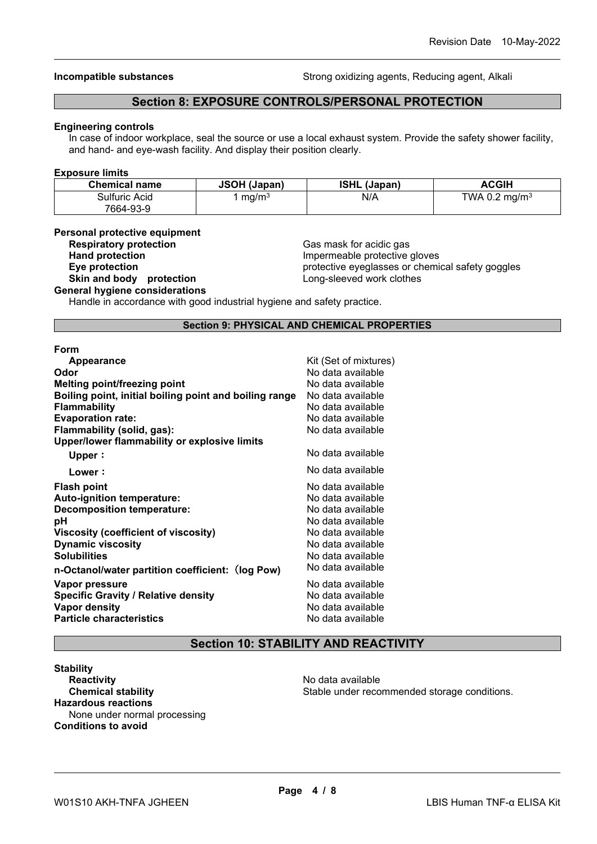**Incompatible substances Strong oxidizing agents, Reducing agent, Alkali** Strong oxidizing agents, Reducing agent, Alkali

# **Section 8: EXPOSURE CONTROLS/PERSONAL PROTECTION**

#### **Engineering controls**

In case of indoor workplace, seal the source or use a local exhaust system. Provide the safety shower facility, and hand- and eye-wash facility. And display their position clearly.

#### **Exposure limits**

| <b>Chemical name</b> | <b>JSOH (Japan)</b> | <b>ISHL (Japan)</b> | ACGIH                     |
|----------------------|---------------------|---------------------|---------------------------|
| Sulfuric Acid        | mg/m <sup>3</sup>   | N/A                 | TWA 0.2 mg/m <sup>3</sup> |
| 7664-93-9            |                     |                     |                           |

#### **Personal protective equipment**

| <b>Respiratory protection</b> |
|-------------------------------|
| <b>Hand protection</b>        |
| Eye protection                |
| Skin and body protection      |
|                               |

**Respiratory protection** Gas mask for acidic gas **Hand protection** Impermeable protective gloves **Eye protection** protective eyeglasses or chemical safety goggles Long-sleeved work clothes

**General hygiene considerations**

Handle in accordance with good industrial hygiene and safety practice.

#### **Section 9: PHYSICAL AND CHEMICAL PROPERTIES**

| Form                                                   |                       |
|--------------------------------------------------------|-----------------------|
| Appearance                                             | Kit (Set of mixtures) |
| Odor                                                   | No data available     |
| <b>Melting point/freezing point</b>                    | No data available     |
| Boiling point, initial boiling point and boiling range | No data available     |
| <b>Flammability</b>                                    | No data available     |
| <b>Evaporation rate:</b>                               | No data available     |
| Flammability (solid, gas):                             | No data available     |
| Upper/lower flammability or explosive limits           |                       |
| Upper:                                                 | No data available     |
| Lower:                                                 | No data available     |
| <b>Flash point</b>                                     | No data available     |
| <b>Auto-ignition temperature:</b>                      | No data available     |
| <b>Decomposition temperature:</b>                      | No data available     |
| рH                                                     | No data available     |
| Viscosity (coefficient of viscosity)                   | No data available     |
| <b>Dynamic viscosity</b>                               | No data available     |
| <b>Solubilities</b>                                    | No data available     |
| n-Octanol/water partition coefficient: (log Pow)       | No data available     |
| Vapor pressure                                         | No data available     |
| <b>Specific Gravity / Relative density</b>             | No data available     |
| <b>Vapor density</b>                                   | No data available     |
| <b>Particle characteristics</b>                        | No data available     |
|                                                        |                       |

# **Section 10: STABILITY AND REACTIVITY**

**Stability Reactivity**<br> **Chemical stability**<br> **Chemical stability**<br> **Chemical stability**<br> **Chemical stability**<br> **Chemical stability Hazardous reactions** None under normal processing **Conditions to avoid**

Stable under recommended storage conditions.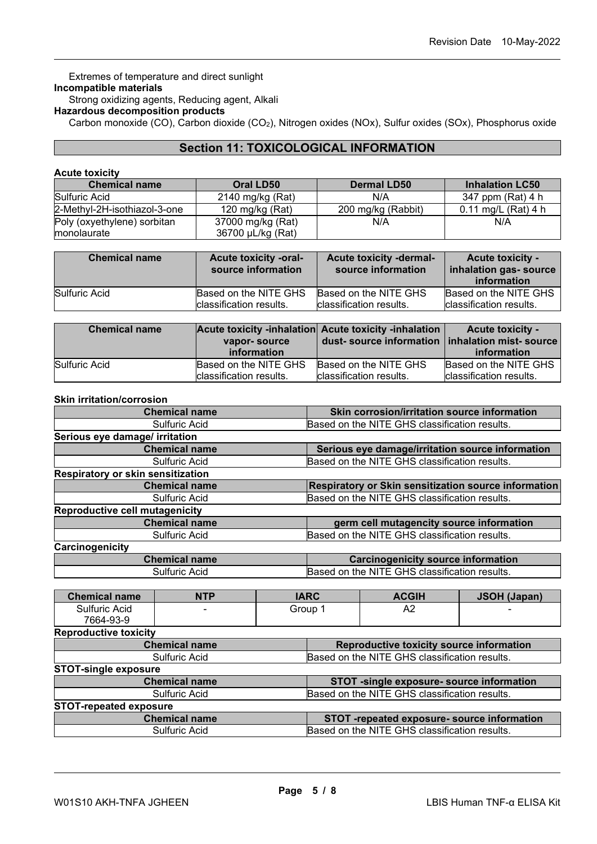Extremes of temperature and direct sunlight **Incompatible materials** Strong oxidizing agents, Reducing agent, Alkali **Hazardous decomposition products**

Carbon monoxide (CO), Carbon dioxide (CO2), Nitrogen oxides (NOx), Sulfur oxides (SOx), Phosphorus oxide

# **Section 11: TOXICOLOGICAL INFORMATION**

#### **Acute toxicity**

| <b>Chemical name</b>         | Oral LD50                               | <b>Dermal LD50</b> | <b>Inhalation LC50</b>        |
|------------------------------|-----------------------------------------|--------------------|-------------------------------|
| Sulfuric Acid                | 2140 mg/kg (Rat)                        | N/A                | 347 ppm (Rat) 4 h             |
| 2-Methyl-2H-isothiazol-3-one | 200 mg/kg (Rabbit)<br>120 mg/kg $(Rat)$ |                    | $0.11 \text{ mg/L}$ (Rat) 4 h |
| Poly (oxyethylene) sorbitan  | 37000 mg/kg (Rat)                       | N/A                | N/A                           |
| monolaurate                  | 36700 µL/kg (Rat)                       |                    |                               |

| <b>Chemical name</b> | <b>Acute toxicity -oral-</b><br>source information | <b>Acute toxicity -dermal-</b><br>source information | <b>Acute toxicity -</b><br>inhalation gas- source<br>information |
|----------------------|----------------------------------------------------|------------------------------------------------------|------------------------------------------------------------------|
| Sulfuric Acid        | Based on the NITE GHS                              | Based on the NITE GHS                                | Based on the NITE GHS                                            |
|                      | classification results.                            | classification results.                              | classification results.                                          |

| <b>Chemical name</b> | vapor-source            | Acute toxicity -inhalation Acute toxicity -inhalation | <b>Acute toxicity -</b> |
|----------------------|-------------------------|-------------------------------------------------------|-------------------------|
|                      | information             | dust- source information   inhalation mist- source    | information             |
| Sulfuric Acid        | Based on the NITE GHS   | Based on the NITE GHS                                 | Based on the NITE GHS   |
|                      | classification results. | classification results.                               | classification results. |

#### **Skin irritation/corrosion**

| <b>Chemical name</b>                  | Skin corrosion/irritation source information         |  |
|---------------------------------------|------------------------------------------------------|--|
| Sulfuric Acid                         | Based on the NITE GHS classification results.        |  |
| Serious eye damage/ irritation        |                                                      |  |
| <b>Chemical name</b>                  | Serious eye damage/irritation source information     |  |
| <b>Sulfuric Acid</b>                  | Based on the NITE GHS classification results.        |  |
| Respiratory or skin sensitization     |                                                      |  |
| <b>Chemical name</b>                  | Respiratory or Skin sensitization source information |  |
| Sulfuric Acid                         | Based on the NITE GHS classification results.        |  |
| <b>Reproductive cell mutagenicity</b> |                                                      |  |
| <b>Chemical name</b>                  | germ cell mutagencity source information             |  |
| Sulfuric Acid                         | Based on the NITE GHS classification results.        |  |
| Carcinogenicity                       |                                                      |  |
| <b>Chemical name</b>                  | <b>Carcinogenicity source information</b>            |  |
| Sulfuric Acid                         | Based on the NITE GHS classification results.        |  |

| <b>Chemical name</b>          | <b>NTP</b>                                                        | <b>IARC</b> |                                               | <b>ACGIH</b>                                  | <b>JSOH (Japan)</b> |
|-------------------------------|-------------------------------------------------------------------|-------------|-----------------------------------------------|-----------------------------------------------|---------------------|
| Sulfuric Acid                 |                                                                   |             | Group 1                                       | A2                                            |                     |
| 7664-93-9                     |                                                                   |             |                                               |                                               |                     |
| <b>Reproductive toxicity</b>  |                                                                   |             |                                               |                                               |                     |
|                               | <b>Chemical name</b>                                              |             |                                               | Reproductive toxicity source information      |                     |
|                               | Sulfuric Acid                                                     |             | Based on the NITE GHS classification results. |                                               |                     |
| <b>STOT-single exposure</b>   |                                                                   |             |                                               |                                               |                     |
|                               | STOT -single exposure- source information<br><b>Chemical name</b> |             |                                               |                                               |                     |
|                               | Based on the NITE GHS classification results.<br>Sulfuric Acid    |             |                                               |                                               |                     |
| <b>STOT-repeated exposure</b> |                                                                   |             |                                               |                                               |                     |
| <b>Chemical name</b>          |                                                                   |             | STOT -repeated exposure- source information   |                                               |                     |
|                               | Sulfuric Acid                                                     |             |                                               | Based on the NITE GHS classification results. |                     |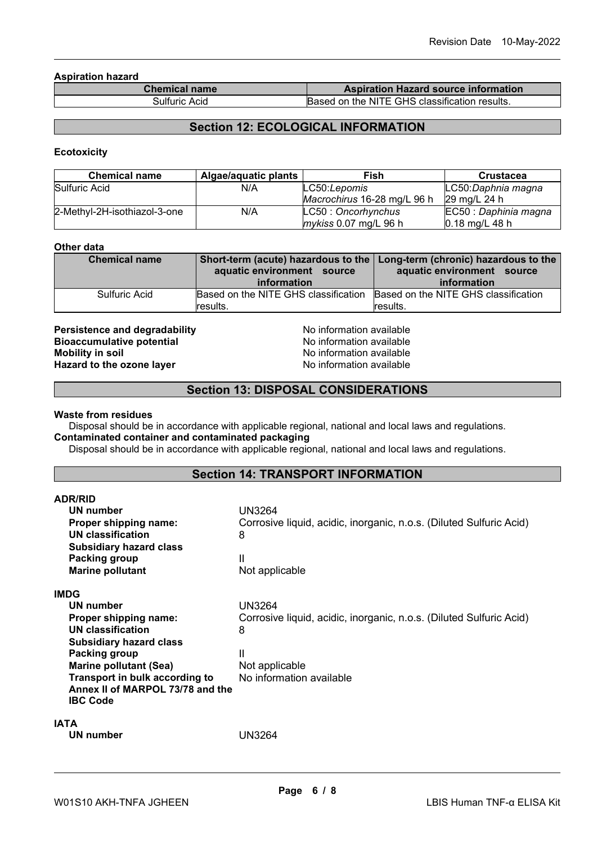**Aspiration hazard**

| <b>Chemical name</b> | <b>Aspiration Hazard source information</b>   |
|----------------------|-----------------------------------------------|
| Sulfuric Acid        | Based on the NITE GHS classification results. |

# **Section 12: ECOLOGICAL INFORMATION**

#### **Ecotoxicity**

| <b>Chemical name</b>         | Algae/aquatic plants | Fish                        | <b>Crustacea</b>      |
|------------------------------|----------------------|-----------------------------|-----------------------|
| Sulfuric Acid                | N/A                  | LC50:Lepomis                | LC50:Daphnia magna    |
|                              |                      | Macrochirus 16-28 mg/L 96 h | 29 ma/L 24 h          |
| 2-Methyl-2H-isothiazol-3-one | N/A                  | LC50: Oncorhynchus          | EC50 : Daphinia magna |
|                              |                      | mykiss 0.07 mg/L 96 h       | $0.18$ mg/L 48 h      |

#### **Other data**

| <b>Chemical name</b> | aquatic environment source           | Short-term (acute) hazardous to the   Long-term (chronic) hazardous to the<br>aquatic environment source |  |
|----------------------|--------------------------------------|----------------------------------------------------------------------------------------------------------|--|
|                      | information                          | information                                                                                              |  |
| Sulfuric Acid        | Based on the NITE GHS classification | Based on the NITE GHS classification                                                                     |  |
|                      | results.                             | results.                                                                                                 |  |

**Persistence and degradability**<br> **Bioaccumulative potential**<br>
No information available<br>
No information available **Bioaccumulative potential<br>Mobility in soil Hazard to the ozone layer** 

No information available<br>No information available

# **Section 13: DISPOSAL CONSIDERATIONS**

#### **Waste from residues**

Disposal should be in accordance with applicable regional, national and local laws and regulations. **Contaminated container and contaminated packaging**

Disposal should be in accordance with applicable regional, national and local laws and regulations.

#### **Section 14: TRANSPORT INFORMATION**

| <b>ADR/RID</b>                   |                                                                     |
|----------------------------------|---------------------------------------------------------------------|
| UN number                        | UN3264                                                              |
| Proper shipping name:            | Corrosive liquid, acidic, inorganic, n.o.s. (Diluted Sulfuric Acid) |
| UN classification                | 8                                                                   |
| <b>Subsidiary hazard class</b>   |                                                                     |
| Packing group                    | Ш                                                                   |
| <b>Marine pollutant</b>          | Not applicable                                                      |
| <b>IMDG</b>                      |                                                                     |
| UN number                        | UN3264                                                              |
| Proper shipping name:            | Corrosive liquid, acidic, inorganic, n.o.s. (Diluted Sulfuric Acid) |
| UN classification                | 8                                                                   |
| <b>Subsidiary hazard class</b>   |                                                                     |
| Packing group                    | Ш                                                                   |
| <b>Marine pollutant (Sea)</b>    | Not applicable                                                      |
| Transport in bulk according to   | No information available                                            |
| Annex II of MARPOL 73/78 and the |                                                                     |
| <b>IBC Code</b>                  |                                                                     |
| <b>IATA</b>                      |                                                                     |
| UN number                        | UN3264                                                              |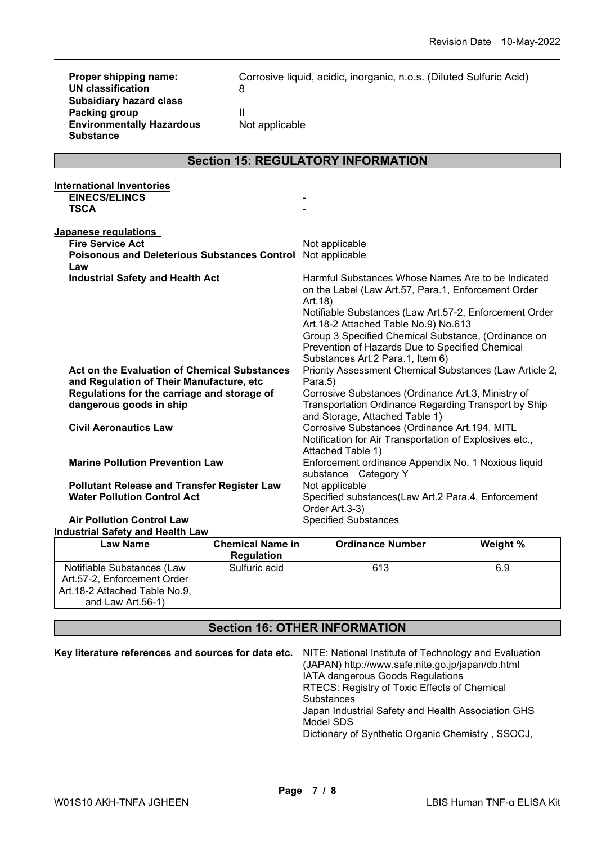| Proper shipping name:<br><b>UN classification</b><br><b>Subsidiary hazard class</b><br><b>Packing group</b><br><b>Environmentally Hazardous</b><br><b>Substance</b>       | 8<br>$\mathbf{II}$<br>Not applicable | Corrosive liquid, acidic, inorganic, n.o.s. (Diluted Sulfuric Acid)                                                                                                                                                                                                                                                                                                  |
|---------------------------------------------------------------------------------------------------------------------------------------------------------------------------|--------------------------------------|----------------------------------------------------------------------------------------------------------------------------------------------------------------------------------------------------------------------------------------------------------------------------------------------------------------------------------------------------------------------|
|                                                                                                                                                                           |                                      | <b>Section 15: REGULATORY INFORMATION</b>                                                                                                                                                                                                                                                                                                                            |
| <b>International Inventories</b><br><b>EINECS/ELINCS</b><br><b>TSCA</b>                                                                                                   |                                      |                                                                                                                                                                                                                                                                                                                                                                      |
| Japanese regulations<br><b>Fire Service Act</b><br><b>Poisonous and Deleterious Substances Control</b><br>Law                                                             |                                      | Not applicable<br>Not applicable                                                                                                                                                                                                                                                                                                                                     |
| <b>Industrial Safety and Health Act</b>                                                                                                                                   |                                      | Harmful Substances Whose Names Are to be Indicated<br>on the Label (Law Art.57, Para.1, Enforcement Order<br>Art.18)<br>Notifiable Substances (Law Art.57-2, Enforcement Order<br>Art.18-2 Attached Table No.9) No.613<br>Group 3 Specified Chemical Substance, (Ordinance on<br>Prevention of Hazards Due to Specified Chemical<br>Substances Art.2 Para.1, Item 6) |
| <b>Act on the Evaluation of Chemical Substances</b><br>and Regulation of Their Manufacture, etc<br>Regulations for the carriage and storage of<br>dangerous goods in ship |                                      | Priority Assessment Chemical Substances (Law Article 2,<br>Para.5)<br>Corrosive Substances (Ordinance Art.3, Ministry of<br>Transportation Ordinance Regarding Transport by Ship<br>and Storage, Attached Table 1)                                                                                                                                                   |
| <b>Civil Aeronautics Law</b>                                                                                                                                              |                                      | Corrosive Substances (Ordinance Art.194, MITL<br>Notification for Air Transportation of Explosives etc.,<br>Attached Table 1)                                                                                                                                                                                                                                        |
| <b>Marine Pollution Prevention Law</b>                                                                                                                                    |                                      | Enforcement ordinance Appendix No. 1 Noxious liquid<br>substance Category Y                                                                                                                                                                                                                                                                                          |
| <b>Pollutant Release and Transfer Register Law</b><br><b>Water Pollution Control Act</b>                                                                                  |                                      | Not applicable<br>Specified substances(Law Art.2 Para.4, Enforcement<br>Order Art.3-3)                                                                                                                                                                                                                                                                               |
| <b>Air Pollution Control Law</b>                                                                                                                                          |                                      | <b>Specified Substances</b>                                                                                                                                                                                                                                                                                                                                          |

# **Industrial Safety and Health Law**

| <b>Law Name</b>                                                                                                 | <b>Chemical Name in</b><br><b>Regulation</b> | <b>Ordinance Number</b> | Weight % |
|-----------------------------------------------------------------------------------------------------------------|----------------------------------------------|-------------------------|----------|
| Notifiable Substances (Law<br>Art.57-2, Enforcement Order<br>Art.18-2 Attached Table No.9,<br>and Law Art.56-1) | Sulfuric acid                                | 613                     | 6.9      |

# **Section 16: OTHER INFORMATION**

| Key literature references and sources for data etc. NITE: National Institute of Technology and Evaluation |
|-----------------------------------------------------------------------------------------------------------|
| (JAPAN) http://www.safe.nite.go.jp/japan/db.html                                                          |
| IATA dangerous Goods Regulations                                                                          |
| RTECS: Registry of Toxic Effects of Chemical                                                              |
| <b>Substances</b>                                                                                         |
| Japan Industrial Safety and Health Association GHS                                                        |
| Model SDS                                                                                                 |
| Dictionary of Synthetic Organic Chemistry, SSOCJ,                                                         |
|                                                                                                           |